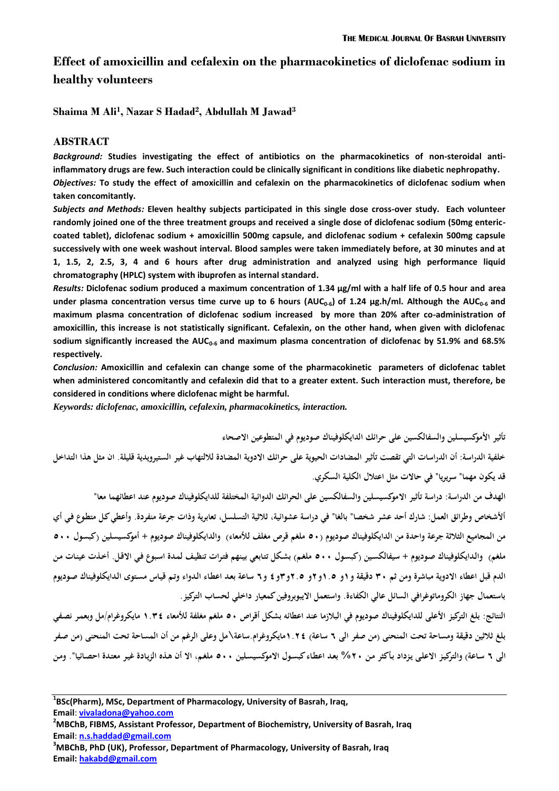# **Effect of amoxicillin and cefalexin on the pharmacokinetics of diclofenac sodium in healthy volunteers**

**Shaima M Ali<sup>1</sup> , Nazar S Hadad<sup>2</sup> , Abdullah M Jawad<sup>3</sup>**

#### **ABSTRACT**

*Background:* **Studies investigating the effect of antibiotics on the pharmacokinetics of non-steroidal antiinflammatory drugs are few. Such interaction could be clinically significant in conditions like diabetic nephropathy.** *Objectives:* **To study the effect of amoxicillin and cefalexin on the pharmacokinetics of diclofenac sodium when taken concomitantly.**

*Subjects and Methods:* **Eleven healthy subjects participated in this single dose cross-over study. Each volunteer randomly joined one of the three treatment groups and received a single dose of diclofenac sodium (50mg entericcoated tablet), diclofenac sodium + amoxicillin 500mg capsule, and diclofenac sodium + cefalexin 500mg capsule successively with one week washout interval. Blood samples were taken immediately before, at 30 minutes and at 1, 1.5, 2, 2.5, 3, 4 and 6 hours after drug administration and analyzed using high performance liquid chromatography (HPLC) system with ibuprofen as internal standard.**

*Results:* **Diclofenac sodium produced a maximum concentration of 1.34 µg/ml with a half life of 0.5 hour and area under plasma concentration versus time curve up to 6 hours (AUC0-6) of 1.24 µg.h/ml. Although the AUC0-6 and maximum plasma concentration of diclofenac sodium increased by more than 20% after co-administration of amoxicillin, this increase is not statistically significant. Cefalexin, on the other hand, when given with diclofenac sodium significantly increased the AUC0-6 and maximum plasma concentration of diclofenac by 51.9% and 68.5% respectively.** 

*Conclusion:* **Amoxicillin and cefalexin can change some of the pharmacokinetic parameters of diclofenac tablet when administered concomitantly and cefalexin did that to a greater extent. Such interaction must, therefore, be considered in conditions where diclofenac might be harmful.** 

*Keywords: diclofenac, amoxicillin, cefalexin, pharmacokinetics, interaction.*

**تأثير األموكسيسلين والسفالكسين على حرائك الدايكلوفيناك صوديوم في المتطوعين االصحاء خلفية الدراسة: أن الدراسات التي تقصت تأثير المضادات الحيوية على حرائك االدوية المضادة لاللتهاب غير الستيرويدية قليلة. ان مثل هذا التداخل قد يكون مهما" سريريا" في حاالت مثل اعتالل الكلية السكري.**

**الهدف من الدراسة: دراسة تأثير االموكسيسلين والسفالكسين على الحرائك الدوائية المختلفة للدايكلوفيناك صوديوم عند اعطائهما معا" أألشخاص وطرائق العمل: شارك أحد عشر شخصا" بالغا" في دراسة عشوائية، ثالثية التسلسل، تعابرية وذات جرعة منفردة. وأعطي كلل متطلوف فلي أي**  من المجاميع الثلاثة جرعة واحدة من الدايكلوفيناك صوديوم (٥٠ ملغم قرص مغلف للأمعاء) والدايكلوفيناك صوديوم + أموكسيسلين (كبسول ٥٠٠ ملغم) والدايكلوفيناك صوديوم + سيفالكسين (كبسول ٥٠٠ ملغم) بشكل تتابعي بينهم فترات تنظيف لمدة اسبوع في الاقل. أخذت عينات من **الدم قبل اعطاء االدوية مباشرة ومن ثم 35 دقيقة و1و 1.5و2و 2.5و3و4 و6 ساعة بعلد اعطلاء اللدواء وتلم قيلاس مسلتوي اللدايكلوفيناك صلوديوم باستعمال جهاز الكروماتوغرافي السائل عالي الكفاءة. واستعمل االيبوبروفين كمعيار داخلي لحساب التركيز.** 

**النتائج: بلغ التركيز األعلى للدايكلوفيناك صوديوم في البالزما عند اعطائه بشكل أقراص 55 ملغم مغلفة لألمعاء 1.34 مايكروغرام/مل وبعملر صصلفي بلغ ثالثين دقيقة ومساحة تحت المنحنى )من صفر الى 6 ساعة( 1.24مايكروغرام.ساعة\مل وعلى الرغم من أن المساحة تحت المنحنى )من صلفر**  الى ٦ ساعة) والتركيز الاعلى يزداد بأكثر من ٢٠% بعد اعطاء كبسول الاموكسيسلين ٥٠٠ ملغم، الا أن هذه الزيادة غير معتدة احصائيا". ومن

**Email**: **vivaladona@yahoo.com**

**<sup>2</sup>MBChB, FIBMS, Assistant Professor, Department of Biochemistry, University of Basrah, Iraq Email**: **n.s.haddad@gmail.com**

**<sup>3</sup>MBChB, PhD (UK), Professor, Department of Pharmacology, University of Basrah, Iraq Email: hakabd@gmail.com**

**<sup>1</sup> BSc(Pharm), MSc, Department of Pharmacology, University of Basrah, Iraq,**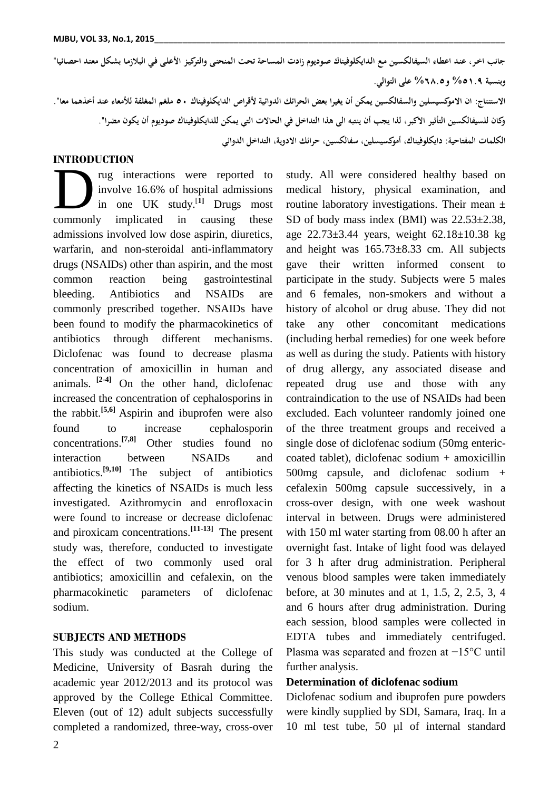**جاصب اخلر، عنلد اعطلاء السيفالكسلين ملع اللدايكلوفيناك صلوديوم زادت المسلاحة تحلت المنحنلى والتركيلز األعللى فلي البالزملا بشلكل معتلد احصلائيا" وبنسبة %51.5 و%6..5 على التوالي. االستنتاج: ان االموكسيسلين والسفالكسين يمكن أن يغيرا بعض الحرائك الدوائية ألقراص الدايكلوفيناك 55 ملغم المغلفة لألمعاء عند أخذهما معا". وكان للسيفالكسين التأثير االكبر، لذا يجب أن ينتبه الى هذا التداخل في الحاالت التي يمكن للدايكلوفيناك صوديوم أن يكون مضرا". الكلمات المفتاحية: دايكلوفيناك، أموكسيسلين، سفالكسين، حرائك االدوية، التداخل الدوائي**

### **INTRODUCTION**

rug interactions were reported to involve 16.6% of hospital admissions in one UK study. [**1]** Drugs most The correction of the extent of the proof of hospital admissions<br>
in one UK study.<sup>[1]</sup> Drugs most<br>
commonly implicated in causing these admissions involved low dose aspirin, diuretics, warfarin, and non-steroidal anti-inflammatory drugs (NSAIDs) other than aspirin, and the most common reaction being gastrointestinal bleeding. Antibiotics and NSAIDs are commonly prescribed together. NSAIDs have been found to modify the pharmacokinetics of antibiotics through different mechanisms. Diclofenac was found to decrease plasma concentration of amoxicillin in human and animals. **[2-4]** On the other hand, diclofenac increased the concentration of cephalosporins in the rabbit.**[5,6]** Aspirin and ibuprofen were also found to increase cephalosporin concentrations.**[7,8]** Other studies found no interaction between NSAIDs and antibiotics.**[9,10]** The subject of antibiotics affecting the kinetics of NSAIDs is much less investigated. Azithromycin and enrofloxacin were found to increase or decrease diclofenac and piroxicam concentrations.**[11-13]** The present study was, therefore, conducted to investigate the effect of two commonly used oral antibiotics; amoxicillin and cefalexin, on the pharmacokinetic parameters of diclofenac sodium.

### **SUBJECTS AND METHODS**

This study was conducted at the College of Medicine, University of Basrah during the academic year 2012/2013 and its protocol was approved by the College Ethical Committee. Eleven (out of 12) adult subjects successfully completed a randomized, three-way, cross-over study. All were considered healthy based on medical history, physical examination, and routine laboratory investigations. Their mean ± SD of body mass index (BMI) was 22.53±2.38, age  $22.73 \pm 3.44$  years, weight  $62.18 \pm 10.38$  kg and height was 165.73±8.33 cm. All subjects gave their written informed consent to participate in the study. Subjects were 5 males and 6 females, non-smokers and without a history of alcohol or drug abuse. They did not take any other concomitant medications (including herbal remedies) for one week before as well as during the study. Patients with history of drug allergy, any associated disease and repeated drug use and those with any contraindication to the use of NSAIDs had been excluded. Each volunteer randomly joined one of the three treatment groups and received a single dose of diclofenac sodium (50mg entericcoated tablet), diclofenac sodium + amoxicillin 500mg capsule, and diclofenac sodium + cefalexin 500mg capsule successively, in a cross-over design, with one week washout interval in between. Drugs were administered with 150 ml water starting from 08.00 h after an overnight fast. Intake of light food was delayed for 3 h after drug administration. Peripheral venous blood samples were taken immediately before, at 30 minutes and at 1, 1.5, 2, 2.5, 3, 4 and 6 hours after drug administration. During each session, blood samples were collected in EDTA tubes and immediately centrifuged. Plasma was separated and frozen at −15°C until further analysis.

#### **Determination of diclofenac sodium**

Diclofenac sodium and ibuprofen pure powders were kindly supplied by SDI, Samara, Iraq. In a 10 ml test tube, 50 µl of internal standard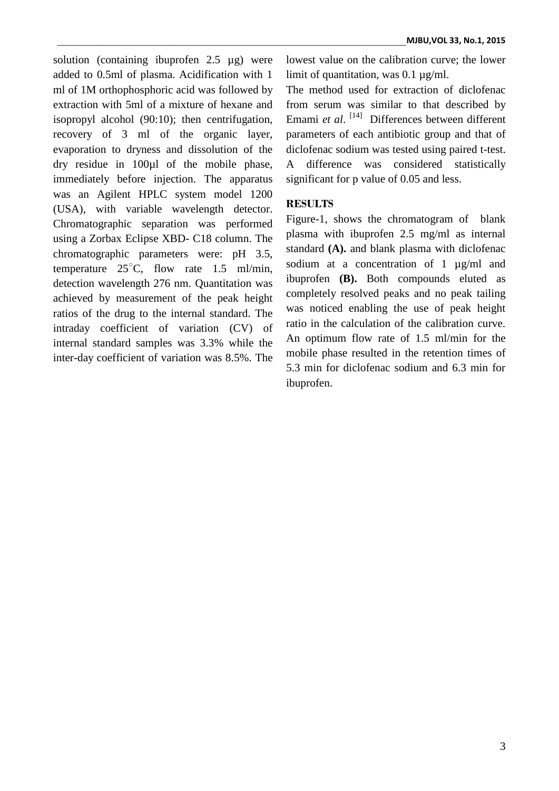solution (containing ibuprofen 2.5 µg) were added to 0.5ml of plasma. Acidification with 1 ml of 1M orthophosphoric acid was followed by extraction with 5ml of a mixture of hexane and isopropyl alcohol (90:10); then centrifugation, recovery of 3 ml of the organic layer, evaporation to dryness and dissolution of the dry residue in 100µl of the mobile phase, immediately before injection. The apparatus was an Agilent HPLC system model 1200 (USA), with variable wavelength detector. Chromatographic separation was performed using a Zorbax Eclipse XBD- C18 column. The chromatographic parameters were: pH 3.5, temperature  $25^{\circ}$ C, flow rate 1.5 ml/min, detection wavelength 276 nm. Quantitation was achieved by measurement of the peak height ratios of the drug to the internal standard. The intraday coefficient of variation (CV) of internal standard samples was 3.3% while the inter-day coefficient of variation was 8.5%. The lowest value on the calibration curve; the lower limit of quantitation, was 0.1 µg/ml.

The method used for extraction of diclofenac from serum was similar to that described by Emami et al.<sup>[14]</sup> Differences between different parameters of each antibiotic group and that of diclofenac sodium was tested using paired t-test. A difference was considered statistically significant for p value of 0.05 and less.

## **RESULTS**

Figure-1, shows the chromatogram of blank plasma with ibuprofen 2.5 mg/ml as internal standard **(A).** and blank plasma with diclofenac sodium at a concentration of 1 µg/ml and ibuprofen **(B).** Both compounds eluted as completely resolved peaks and no peak tailing was noticed enabling the use of peak height ratio in the calculation of the calibration curve. An optimum flow rate of 1.5 ml/min for the mobile phase resulted in the retention times of 5.3 min for diclofenac sodium and 6.3 min for ibuprofen.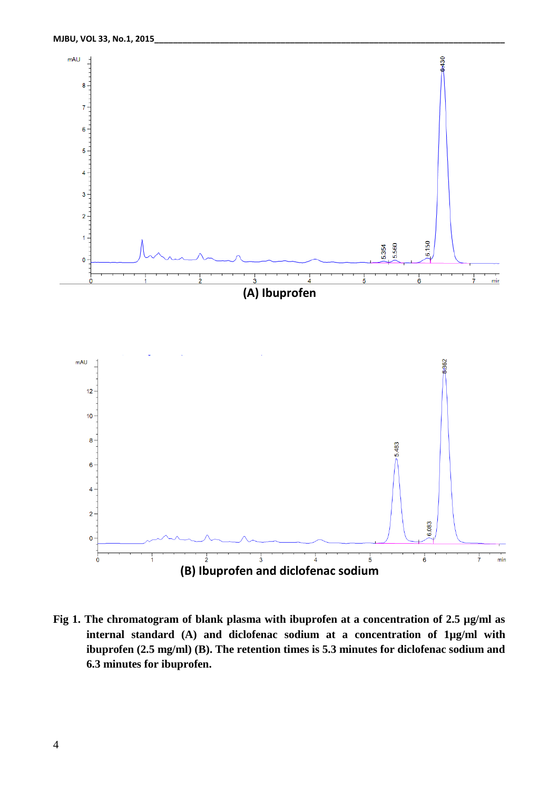

**Fig 1. The chromatogram of blank plasma with ibuprofen at a concentration of 2.5 µg/ml as internal standard (A) and diclofenac sodium at a concentration of 1µg/ml with ibuprofen (2.5 mg/ml) (B). The retention times is 5.3 minutes for diclofenac sodium and 6.3 minutes for ibuprofen.**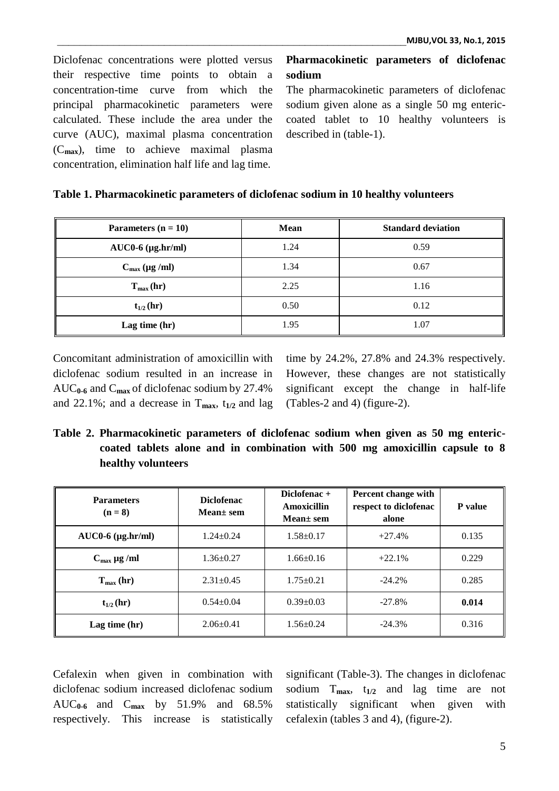Diclofenac concentrations were plotted versus their respective time points to obtain a concentration-time curve from which the principal pharmacokinetic parameters were calculated. These include the area under the curve (AUC), maximal plasma concentration (C**max**), time to achieve maximal plasma concentration, elimination half life and lag time.

**Pharmacokinetic parameters of diclofenac sodium**

The pharmacokinetic parameters of diclofenac sodium given alone as a single 50 mg entericcoated tablet to 10 healthy volunteers is described in (table-1).

| Table 1. Pharmacokinetic parameters of diclofenac sodium in 10 healthy volunteers |  |  |  |  |  |
|-----------------------------------------------------------------------------------|--|--|--|--|--|
|-----------------------------------------------------------------------------------|--|--|--|--|--|

| Parameters $(n = 10)$     | <b>Mean</b> | <b>Standard deviation</b> |  |  |  |
|---------------------------|-------------|---------------------------|--|--|--|
| $AUC0-6$ ( $\mu$ g.hr/ml) | 1.24        | 0.59                      |  |  |  |
| $C_{\text{max}}$ (µg /ml) | 1.34        | 0.67                      |  |  |  |
| $T_{max}(hr)$             | 2.25        | 1.16                      |  |  |  |
| $t_{1/2}$ (hr)            | 0.50        | 0.12                      |  |  |  |
| Lag time $(hr)$           | 1.95        | 1.07                      |  |  |  |

Concomitant administration of amoxicillin with diclofenac sodium resulted in an increase in AUC**0-6** and C**max** of diclofenac sodium by 27.4% and 22.1%; and a decrease in  $T_{\text{max}}$ ,  $t_{1/2}$  and lag

time by 24.2%, 27.8% and 24.3% respectively. However, these changes are not statistically significant except the change in half-life (Tables-2 and 4) (figure-2).

**Table 2. Pharmacokinetic parameters of diclofenac sodium when given as 50 mg entericcoated tablets alone and in combination with 500 mg amoxicillin capsule to 8 healthy volunteers**

| <b>Parameters</b><br>$(n = 8)$ | <b>Diclofenac</b><br>$Mean \pm sem$ | Diclofenac $+$<br>Amoxicillin<br>$Mean \pm sem$ | Percent change with<br>respect to diclofenac<br>alone | P value |  |
|--------------------------------|-------------------------------------|-------------------------------------------------|-------------------------------------------------------|---------|--|
| $AUC0-6$ ( $\mu$ g.hr/ml)      | $1.24 + 0.24$                       | $1.58 \pm 0.17$                                 | $+27.4%$                                              | 0.135   |  |
| $C_{\text{max}}$ µg /ml        | $1.36 \pm 0.27$                     | $1.66 \pm 0.16$                                 | $+22.1%$                                              | 0.229   |  |
| $T_{\text{max}}$ (hr)          | $2.31 \pm 0.45$                     | $1.75 \pm 0.21$                                 | $-24.2%$                                              | 0.285   |  |
| $t_{1/2}$ (hr)                 | $0.54 \pm 0.04$                     | $0.39 \pm 0.03$                                 | $-27.8%$                                              | 0.014   |  |
| Lag time $(hr)$                | $2.06 \pm 0.41$                     | $1.56 \pm 0.24$                                 | $-24.3%$                                              | 0.316   |  |

Cefalexin when given in combination with diclofenac sodium increased diclofenac sodium AUC**0-6** and C**max** by 51.9% and 68.5% respectively. This increase is statistically significant (Table-3). The changes in diclofenac sodium T**max**, t**1/2** and lag time are not statistically significant when given with cefalexin (tables 3 and 4), (figure-2).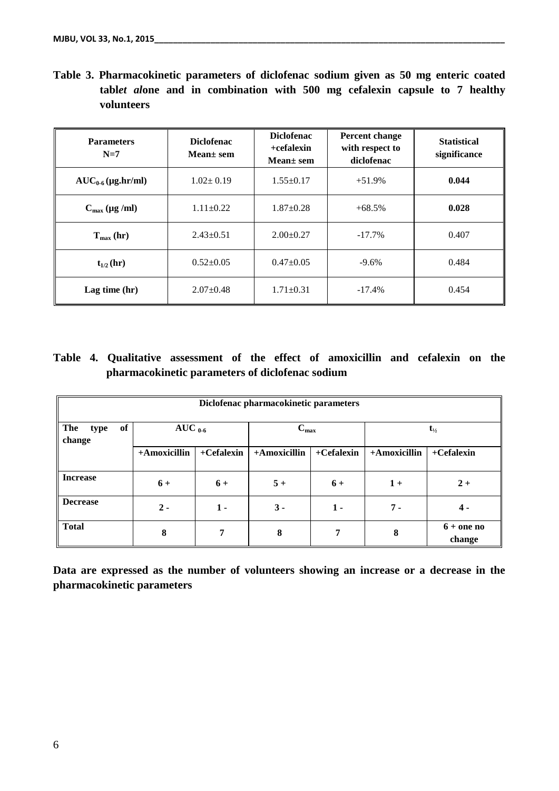|  |            |  | Table 3. Pharmacokinetic parameters of diclofenac sodium given as 50 mg enteric coated |  |  |  |  |
|--|------------|--|----------------------------------------------------------------------------------------|--|--|--|--|
|  |            |  | tablet alone and in combination with 500 mg cefalexin capsule to 7 healthy             |  |  |  |  |
|  | volunteers |  |                                                                                        |  |  |  |  |

| <b>Parameters</b><br>$N=7$       | <b>Diclofenac</b><br>Mean $\pm$ sem | <b>Diclofenac</b><br>$+cefalexin$<br>Mean $\pm$ sem | Percent change<br>with respect to<br>diclofenac | <b>Statistical</b><br>significance |  |
|----------------------------------|-------------------------------------|-----------------------------------------------------|-------------------------------------------------|------------------------------------|--|
| $AUC_{0.6} (\mu g \cdot h r/ml)$ | $1.02 \pm 0.19$                     | $1.55 \pm 0.17$                                     | $+51.9%$                                        | 0.044                              |  |
| $C_{\text{max}}$ (µg /ml)        | $1.11 \pm 0.22$                     | $1.87 \pm 0.28$                                     | $+68.5%$                                        | 0.028                              |  |
| $T_{\text{max}}$ (hr)            | $2.43 \pm 0.51$                     | $2.00 \pm 0.27$                                     | $-17.7\%$                                       | 0.407                              |  |
| $t_{1/2}$ (hr)                   | $0.52 \pm 0.05$                     | $0.47 \pm 0.05$                                     | $-9.6\%$                                        | 0.484                              |  |
| Lag time $(hr)$                  | $2.07 \pm 0.48$                     | $1.71 \pm 0.31$                                     | $-17.4%$                                        | 0.454                              |  |

# **Table 4. Qualitative assessment of the effect of amoxicillin and cefalexin on the pharmacokinetic parameters of diclofenac sodium**

| Diclofenac pharmacokinetic parameters |                                  |              |              |              |                   |                        |  |  |  |  |
|---------------------------------------|----------------------------------|--------------|--------------|--------------|-------------------|------------------------|--|--|--|--|
| of<br><b>The</b><br>type<br>change    | AUC $_{0.6}$<br>$C_{\text{max}}$ |              |              |              | $t_{\frac{1}{2}}$ |                        |  |  |  |  |
|                                       | +Amoxicillin                     | $+Cefalexin$ | +Amoxicillin | $+Cefalexin$ | +Amoxicillin      | $+Cefalexin$           |  |  |  |  |
| <b>Increase</b>                       | $6+$                             | $6+$         | $5+$         | $6+$         | $1+$              | $2+$                   |  |  |  |  |
| <b>Decrease</b>                       | $2 -$                            | $1 -$        | $3 -$        | $1 -$        | 7 -               | $4 -$                  |  |  |  |  |
| Total                                 | 8                                | 7            | 8            | 7            | 8                 | $6 +$ one no<br>change |  |  |  |  |

**Data are expressed as the number of volunteers showing an increase or a decrease in the pharmacokinetic parameters**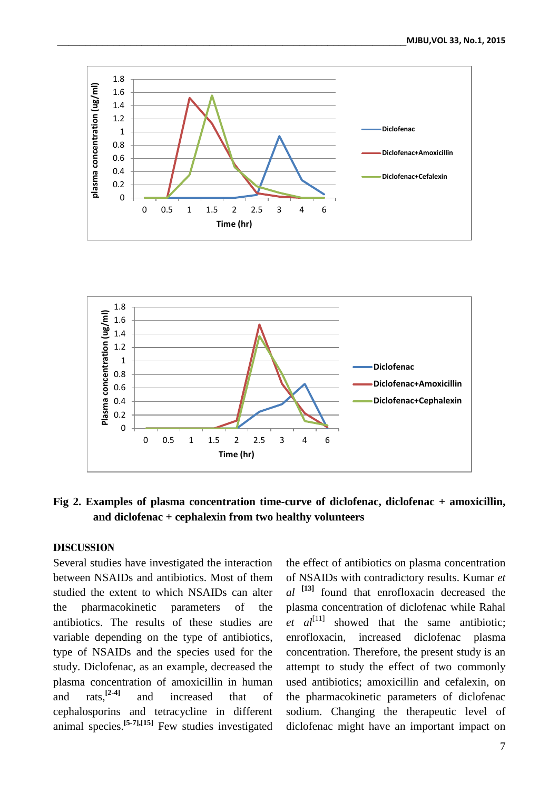



## **Fig 2. Examples of plasma concentration time-curve of diclofenac, diclofenac + amoxicillin, and diclofenac + cephalexin from two healthy volunteers**

### **DISCUSSION**

Several studies have investigated the interaction between NSAIDs and antibiotics. Most of them studied the extent to which NSAIDs can alter the pharmacokinetic parameters of the antibiotics. The results of these studies are variable depending on the type of antibiotics, type of NSAIDs and the species used for the study. Diclofenac, as an example, decreased the plasma concentration of amoxicillin in human and  $\arctan \frac{[2-4]}{4}$ **[2-4]** and increased that of cephalosporins and tetracycline in different animal species. **[5-7],[15]** Few studies investigated the effect of antibiotics on plasma concentration of NSAIDs with contradictory results. Kumar *et al* **[13]** found that enrofloxacin decreased the plasma concentration of diclofenac while Rahal  $et \text{all}^{[11]}$  showed that the same antibiotic; enrofloxacin, increased diclofenac plasma concentration. Therefore, the present study is an attempt to study the effect of two commonly used antibiotics; amoxicillin and cefalexin, on the pharmacokinetic parameters of diclofenac sodium. Changing the therapeutic level of diclofenac might have an important impact on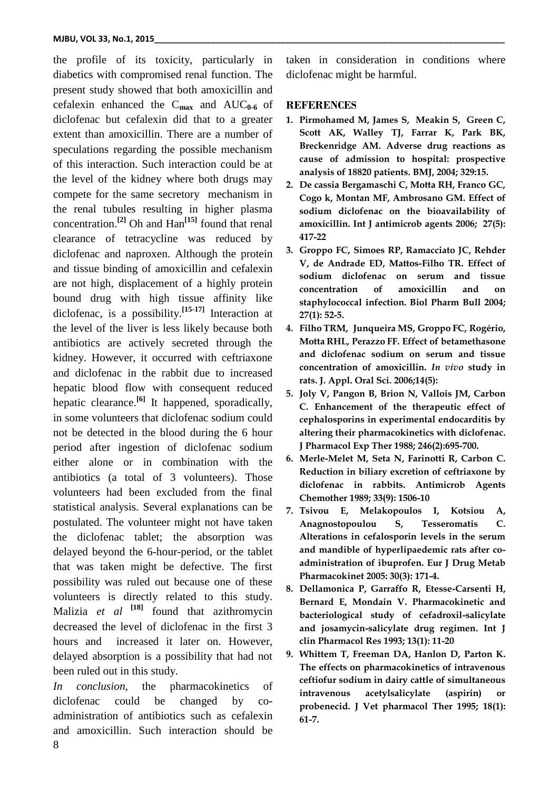the profile of its toxicity, particularly in diabetics with compromised renal function. The present study showed that both amoxicillin and cefalexin enhanced the C**max** and AUC**0-6** of diclofenac but cefalexin did that to a greater extent than amoxicillin. There are a number of speculations regarding the possible mechanism of this interaction. Such interaction could be at the level of the kidney where both drugs may compete for the same secretory mechanism in the renal tubules resulting in higher plasma concentration. **[2]** Oh and Han**[15]** found that renal clearance of tetracycline was reduced by diclofenac and naproxen. Although the protein and tissue binding of amoxicillin and cefalexin are not high, displacement of a highly protein bound drug with high tissue affinity like diclofenac, is a possibility. **[15-17]** Interaction at the level of the liver is less likely because both antibiotics are actively secreted through the kidney. However, it occurred with ceftriaxone and diclofenac in the rabbit due to increased hepatic blood flow with consequent reduced hepatic clearance. **[6]** It happened, sporadically, in some volunteers that diclofenac sodium could not be detected in the blood during the 6 hour period after ingestion of diclofenac sodium either alone or in combination with the antibiotics (a total of 3 volunteers). Those volunteers had been excluded from the final statistical analysis. Several explanations can be postulated. The volunteer might not have taken the diclofenac tablet; the absorption was delayed beyond the 6-hour-period, or the tablet that was taken might be defective. The first possibility was ruled out because one of these volunteers is directly related to this study. Malizia *et al* **[18]** found that azithromycin decreased the level of diclofenac in the first 3 hours and increased it later on. However, delayed absorption is a possibility that had not been ruled out in this study.

8 *In conclusion,* the pharmacokinetics of diclofenac could be changed by coadministration of antibiotics such as cefalexin and amoxicillin. Such interaction should be

taken in consideration in conditions where diclofenac might be harmful.

#### **REFERENCES**

- **1. Pirmohamed M, James S, Meakin S, Green C, Scott AK, Walley TJ, Farrar K, Park BK, Breckenridge AM. Adverse drug reactions as cause of admission to hospital: prospective analysis of 18820 patients. BMJ, 2004; 329:15.**
- **2. De cassia Bergamaschi C, Motta RH, Franco GC, Cogo k, Montan MF, Ambrosano GM. Effect of sodium diclofenac on the bioavailability of amoxicillin. Int J antimicrob agents 2006; 27(5): 417-22**
- **3. [Groppo FC,](http://www.ncbi.nlm.nih.gov/pubmed?term=Groppo%20FC%5BAuthor%5D&cauthor=true&cauthor_uid=14709898) [Simoes RP,](http://www.ncbi.nlm.nih.gov/pubmed?term=Sim%C3%B5es%20RP%5BAuthor%5D&cauthor=true&cauthor_uid=14709898) [Ramacciato JC,](http://www.ncbi.nlm.nih.gov/pubmed?term=Ramacciato%20JC%5BAuthor%5D&cauthor=true&cauthor_uid=14709898) [Rehder](http://www.ncbi.nlm.nih.gov/pubmed?term=Rehder%20V%5BAuthor%5D&cauthor=true&cauthor_uid=14709898)  [V,](http://www.ncbi.nlm.nih.gov/pubmed?term=Rehder%20V%5BAuthor%5D&cauthor=true&cauthor_uid=14709898) [de Andrade ED,](http://www.ncbi.nlm.nih.gov/pubmed?term=de%20Andrade%20ED%5BAuthor%5D&cauthor=true&cauthor_uid=14709898) [Mattos-Filho TR.](http://www.ncbi.nlm.nih.gov/pubmed?term=Mattos-Filho%20TR%5BAuthor%5D&cauthor=true&cauthor_uid=14709898) Effect of sodium diclofenac on serum and tissue concentration of amoxicillin and on staphylococcal infection. Biol Pharm Bull 2004; 27(1): 52-5.**
- **4. Filho TRM, Junqueira MS, Groppo FC, Rogério, Motta RHL, Perazzo FF. Effect of betamethasone and diclofenac sodium on serum and tissue concentration of amoxicillin.** *In vivo* **study in rats. J. Appl. Oral Sci. 2006;14(5):**
- **5. [Joly V,](http://www.ncbi.nlm.nih.gov/pubmed?term=Joly%20V%5BAuthor%5D&cauthor=true&cauthor_uid=3042958) [Pangon B,](http://www.ncbi.nlm.nih.gov/pubmed?term=Pangon%20B%5BAuthor%5D&cauthor=true&cauthor_uid=3042958) [Brion N,](http://www.ncbi.nlm.nih.gov/pubmed?term=Brion%20N%5BAuthor%5D&cauthor=true&cauthor_uid=3042958) [Vallois JM,](http://www.ncbi.nlm.nih.gov/pubmed?term=Vallois%20JM%5BAuthor%5D&cauthor=true&cauthor_uid=3042958) [Carbon](http://www.ncbi.nlm.nih.gov/pubmed?term=Carbon%20C%5BAuthor%5D&cauthor=true&cauthor_uid=3042958)  [C.](http://www.ncbi.nlm.nih.gov/pubmed?term=Carbon%20C%5BAuthor%5D&cauthor=true&cauthor_uid=3042958) Enhancement of the therapeutic effect of cephalosporins in experimental endocarditis by altering their pharmacokinetics with diclofenac. J Pharmacol Exp Ther 1988; 246(2):695-700.**
- **6. Merle-Melet M, Seta N, Farinotti R, Carbon C. Reduction in biliary excretion of ceftriaxone by diclofenac in rabbits. Antimicrob Agents Chemother 1989; 33(9): 1506-10**
- **7. [Tsivou E,](http://www.ncbi.nlm.nih.gov/pubmed?term=Tsivou%20E%5BAuthor%5D&cauthor=true&cauthor_uid=16250253) [Melakopoulos I,](http://www.ncbi.nlm.nih.gov/pubmed?term=Melakopoulos%20I%5BAuthor%5D&cauthor=true&cauthor_uid=16250253) [Kotsiou A,](http://www.ncbi.nlm.nih.gov/pubmed?term=Kotsiou%20A%5BAuthor%5D&cauthor=true&cauthor_uid=16250253) [Anagnostopoulou S,](http://www.ncbi.nlm.nih.gov/pubmed?term=Anagnostopoulou%20S%5BAuthor%5D&cauthor=true&cauthor_uid=16250253) [Tesseromatis C.](http://www.ncbi.nlm.nih.gov/pubmed?term=Tesseromatis%20C%5BAuthor%5D&cauthor=true&cauthor_uid=16250253) Alterations in cefalosporin levels in the serum and mandible of hyperlipaedemic rats after coadministration of ibuprofen. Eur J Drug Metab Pharmacokinet 2005: 30(3): 171-4.**
- **8. Dellamonica P, Garraffo R, Etesse-Carsenti H, Bernard E, Mondain V. Pharmacokinetic and bacteriological study of cefadroxil-salicylate and josamycin-salicylate drug regimen. Int J clin Pharmacol Res 1993; 13(1): 11-20**
- **9. Whittem T, Freeman DA, Hanlon D, Parton K. The effects on pharmacokinetics of intravenous ceftiofur sodium in dairy cattle of simultaneous intravenous acetylsalicylate (aspirin) or probenecid. J Vet pharmacol Ther 1995; 18(1): 61-7.**